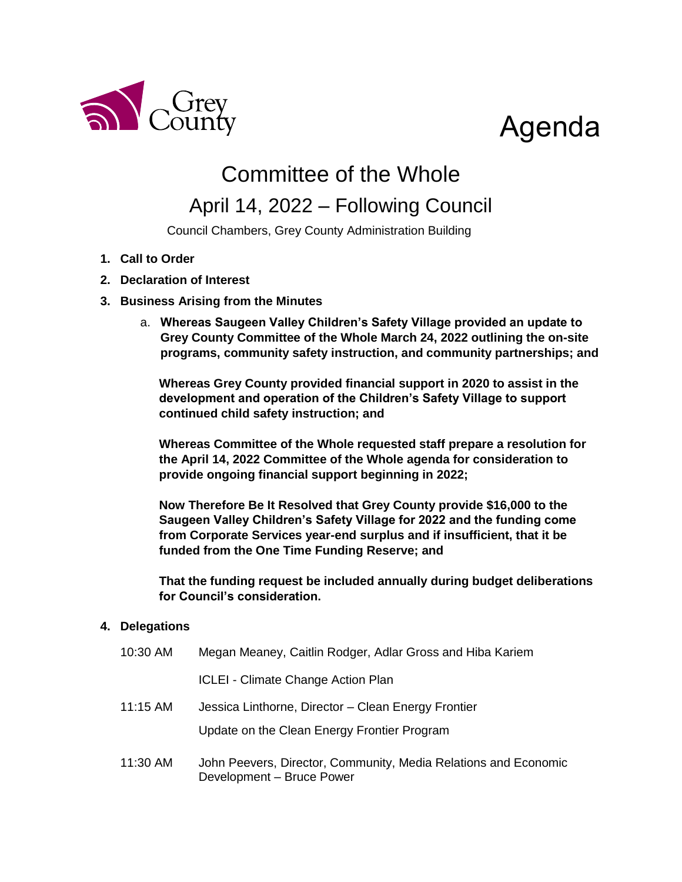

# Agenda

## Committee of the Whole

### April 14, 2022 – Following Council

Council Chambers, Grey County Administration Building

- **1. Call to Order**
- **2. Declaration of Interest**
- **3. Business Arising from the Minutes**
	- a. **Whereas Saugeen Valley Children's Safety Village provided an update to Grey County Committee of the Whole March 24, 2022 outlining the on-site programs, community safety instruction, and community partnerships; and**

**Whereas Grey County provided financial support in 2020 to assist in the development and operation of the Children's Safety Village to support continued child safety instruction; and**

**Whereas Committee of the Whole requested staff prepare a resolution for the April 14, 2022 Committee of the Whole agenda for consideration to provide ongoing financial support beginning in 2022;**

**Now Therefore Be It Resolved that Grey County provide \$16,000 to the Saugeen Valley Children's Safety Village for 2022 and the funding come from Corporate Services year-end surplus and if insufficient, that it be funded from the One Time Funding Reserve; and**

**That the funding request be included annually during budget deliberations for Council's consideration.** 

#### **4. Delegations**

| 10:30 AM | Megan Meaney, Caitlin Rodger, Adlar Gross and Hiba Kariem                                    |
|----------|----------------------------------------------------------------------------------------------|
|          | <b>ICLEI - Climate Change Action Plan</b>                                                    |
| 11:15 AM | Jessica Linthorne, Director - Clean Energy Frontier                                          |
|          | Update on the Clean Energy Frontier Program                                                  |
| 11:30 AM | John Peevers, Director, Community, Media Relations and Economic<br>Development - Bruce Power |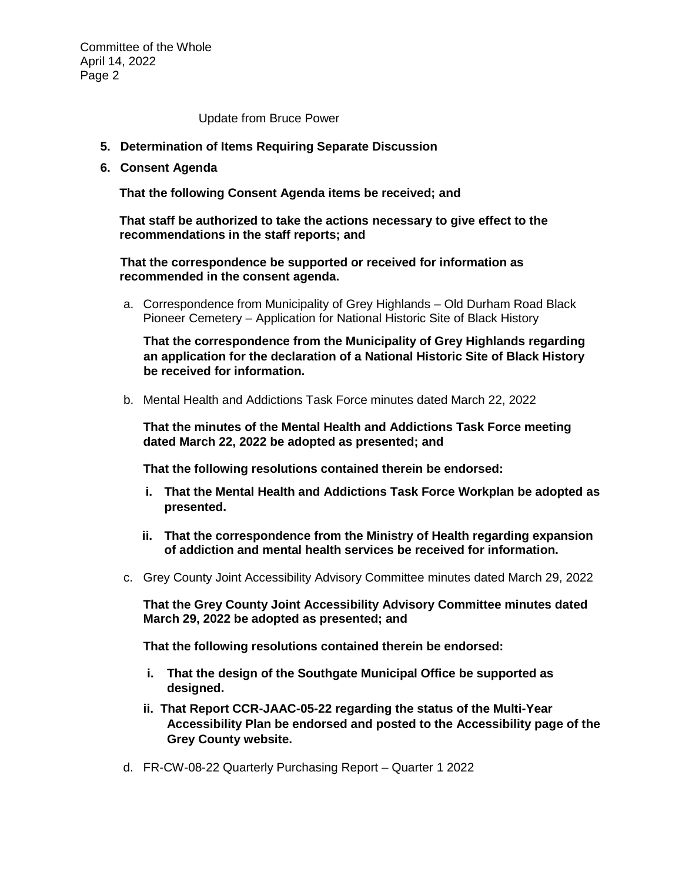Committee of the Whole April 14, 2022 Page 2

Update from Bruce Power

- **5. Determination of Items Requiring Separate Discussion**
- **6. Consent Agenda**

**That the following Consent Agenda items be received; and**

**That staff be authorized to take the actions necessary to give effect to the recommendations in the staff reports; and**

**That the correspondence be supported or received for information as recommended in the consent agenda.**

a. Correspondence from Municipality of Grey Highlands – Old Durham Road Black Pioneer Cemetery – Application for National Historic Site of Black History

**That the correspondence from the Municipality of Grey Highlands regarding an application for the declaration of a National Historic Site of Black History be received for information.** 

b. Mental Health and Addictions Task Force minutes dated March 22, 2022

**That the minutes of the Mental Health and Addictions Task Force meeting dated March 22, 2022 be adopted as presented; and**

**That the following resolutions contained therein be endorsed:**

- **i. That the Mental Health and Addictions Task Force Workplan be adopted as presented.**
- **ii. That the correspondence from the Ministry of Health regarding expansion of addiction and mental health services be received for information.**
- c. Grey County Joint Accessibility Advisory Committee minutes dated March 29, 2022

**That the Grey County Joint Accessibility Advisory Committee minutes dated March 29, 2022 be adopted as presented; and**

**That the following resolutions contained therein be endorsed:**

- **i. That the design of the Southgate Municipal Office be supported as designed.**
- **ii. That Report CCR-JAAC-05-22 regarding the status of the Multi-Year Accessibility Plan be endorsed and posted to the Accessibility page of the Grey County website.**
- d. FR-CW-08-22 Quarterly Purchasing Report Quarter 1 2022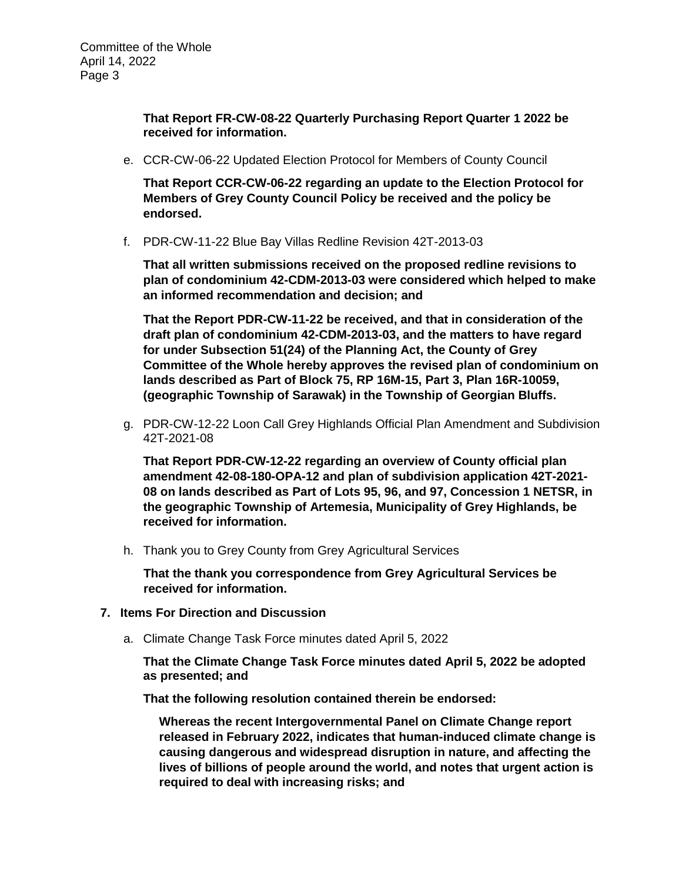**That Report FR-CW-08-22 Quarterly Purchasing Report Quarter 1 2022 be received for information.** 

e. CCR-CW-06-22 Updated Election Protocol for Members of County Council

**That Report CCR-CW-06-22 regarding an update to the Election Protocol for Members of Grey County Council Policy be received and the policy be endorsed.**

f. PDR-CW-11-22 Blue Bay Villas Redline Revision 42T-2013-03

**That all written submissions received on the proposed redline revisions to plan of condominium 42-CDM-2013-03 were considered which helped to make an informed recommendation and decision; and**

**That the Report PDR-CW-11-22 be received, and that in consideration of the draft plan of condominium 42-CDM-2013-03, and the matters to have regard for under Subsection 51(24) of the Planning Act, the County of Grey Committee of the Whole hereby approves the revised plan of condominium on lands described as Part of Block 75, RP 16M-15, Part 3, Plan 16R-10059, (geographic Township of Sarawak) in the Township of Georgian Bluffs.**

g. PDR-CW-12-22 Loon Call Grey Highlands Official Plan Amendment and Subdivision 42T-2021-08

**That Report PDR-CW-12-22 regarding an overview of County official plan amendment 42-08-180-OPA-12 and plan of subdivision application 42T-2021- 08 on lands described as Part of Lots 95, 96, and 97, Concession 1 NETSR, in the geographic Township of Artemesia, Municipality of Grey Highlands, be received for information.** 

h. Thank you to Grey County from Grey Agricultural Services

**That the thank you correspondence from Grey Agricultural Services be received for information.** 

- **7. Items For Direction and Discussion**
	- a. Climate Change Task Force minutes dated April 5, 2022

**That the Climate Change Task Force minutes dated April 5, 2022 be adopted as presented; and**

**That the following resolution contained therein be endorsed:**

**Whereas the recent Intergovernmental Panel on Climate Change report released in February 2022, indicates that human-induced climate change is causing dangerous and widespread disruption in nature, and affecting the lives of billions of people around the world, and notes that urgent action is required to deal with increasing risks; and**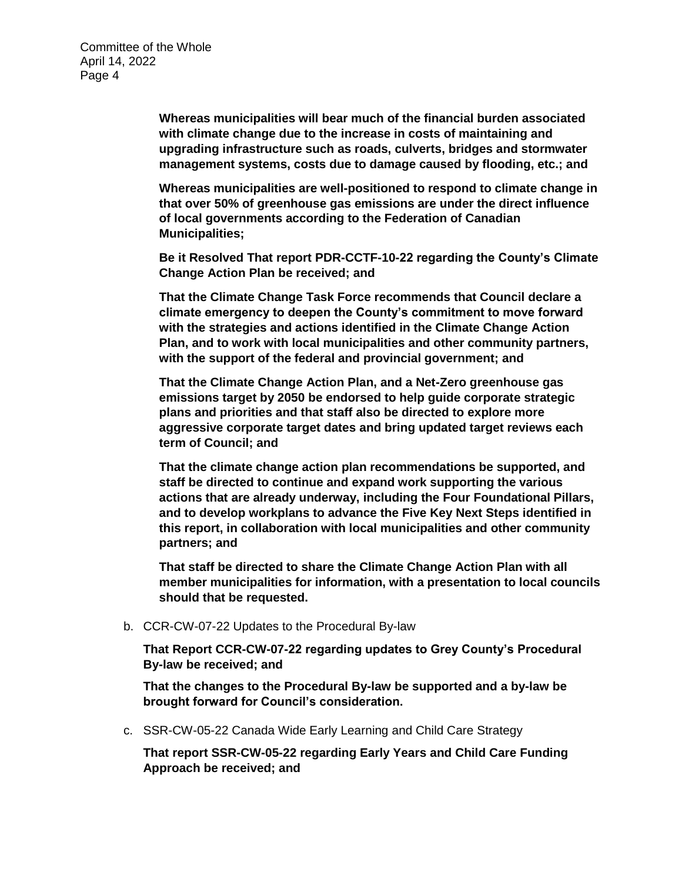**Whereas municipalities will bear much of the financial burden associated with climate change due to the increase in costs of maintaining and upgrading infrastructure such as roads, culverts, bridges and stormwater management systems, costs due to damage caused by flooding, etc.; and**

**Whereas municipalities are well-positioned to respond to climate change in that over 50% of greenhouse gas emissions are under the direct influence of local governments according to the Federation of Canadian Municipalities;** 

**Be it Resolved That report PDR-CCTF-10-22 regarding the County's Climate Change Action Plan be received; and**

**That the Climate Change Task Force recommends that Council declare a climate emergency to deepen the County's commitment to move forward with the strategies and actions identified in the Climate Change Action Plan, and to work with local municipalities and other community partners, with the support of the federal and provincial government; and** 

**That the Climate Change Action Plan, and a Net-Zero greenhouse gas emissions target by 2050 be endorsed to help guide corporate strategic plans and priorities and that staff also be directed to explore more aggressive corporate target dates and bring updated target reviews each term of Council; and** 

**That the climate change action plan recommendations be supported, and staff be directed to continue and expand work supporting the various actions that are already underway, including the Four Foundational Pillars, and to develop workplans to advance the Five Key Next Steps identified in this report, in collaboration with local municipalities and other community partners; and**

**That staff be directed to share the Climate Change Action Plan with all member municipalities for information, with a presentation to local councils should that be requested.**

b. CCR-CW-07-22 Updates to the Procedural By-law

**That Report CCR-CW-07-22 regarding updates to Grey County's Procedural By-law be received; and**

**That the changes to the Procedural By-law be supported and a by-law be brought forward for Council's consideration.**

c. SSR-CW-05-22 Canada Wide Early Learning and Child Care Strategy

**That report SSR-CW-05-22 regarding Early Years and Child Care Funding Approach be received; and**